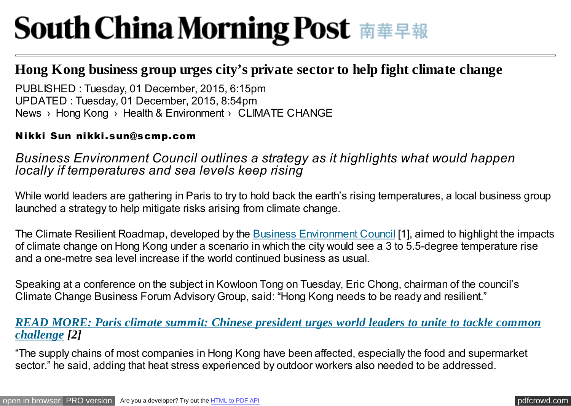# **South China Morning Post 南華早報**

# **Hong Kong business group urges city's private sector to help fight climate change**

News › Hong Kong › Health & Environment › CLIMATE CHANGE PUBLISHED : Tuesday, 01 December, 2015, 6:15pm UPDATED : Tuesday, 01 December, 2015, 8:54pm

#### Nikki Sun nikki.sun@scmp.com

# *Business Environment Council outlines a strategy as it highlights what would happen locally if temperatures and sea levels keep rising*

While world leaders are gathering in Paris to try to hold back the earth's rising temperatures, a local business group launched a strategy to help mitigate risks arising from climate change.

The Climate Resilient Roadmap, developed by the [Business Environment Council](http://www.bec.org.hk/) [1], aimed to highlight the impacts of climate change on Hong Kong under a scenario in which the city would see a 3 to 5.5-degree temperature rise and a one-metre sea level increase if the world continued business as usual.

Speaking at a conference on the subject in Kowloon Tong on Tuesday, Eric Chong, chairman of the council's Climate Change Business Forum Advisory Group, said: "Hong Kong needs to be ready and resilient."

## *[READ MORE: Paris climate summit: Chinese president urges world leaders to unite to tackle common](http://www.scmp.com/news/china/policies-politics/article/1885376/paris-climate-summit-chinese-president-urges-world) challenge [2]*

"The supply chains of most companies in Hong Kong have been affected, especially the food and supermarket sector." he said, adding that heat stress experienced by outdoor workers also needed to be addressed.